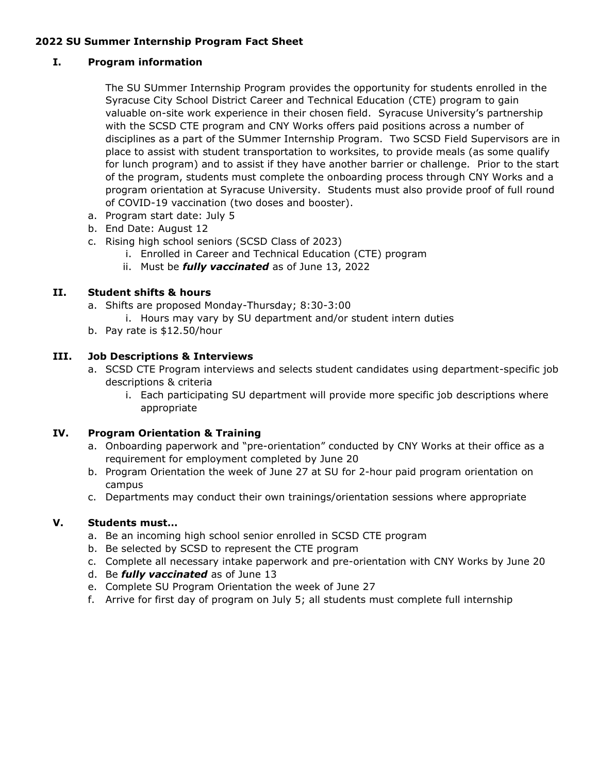# **2022 SU Summer Internship Program Fact Sheet**

## **I. Program information**

The SU SUmmer Internship Program provides the opportunity for students enrolled in the Syracuse City School District Career and Technical Education (CTE) program to gain valuable on-site work experience in their chosen field. Syracuse University's partnership with the SCSD CTE program and CNY Works offers paid positions across a number of disciplines as a part of the SUmmer Internship Program. Two SCSD Field Supervisors are in place to assist with student transportation to worksites, to provide meals (as some qualify for lunch program) and to assist if they have another barrier or challenge. Prior to the start of the program, students must complete the onboarding process through CNY Works and a program orientation at Syracuse University. Students must also provide proof of full round of COVID-19 vaccination (two doses and booster).

- a. Program start date: July 5
- b. End Date: August 12
- c. Rising high school seniors (SCSD Class of 2023)
	- i. Enrolled in Career and Technical Education (CTE) program
	- ii. Must be *fully vaccinated* as of June 13, 2022

### **II. Student shifts & hours**

- a. Shifts are proposed Monday-Thursday; 8:30-3:00
	- i. Hours may vary by SU department and/or student intern duties
- b. Pay rate is \$12.50/hour

### **III. Job Descriptions & Interviews**

- a. SCSD CTE Program interviews and selects student candidates using department-specific job descriptions & criteria
	- i. Each participating SU department will provide more specific job descriptions where appropriate

### **IV. Program Orientation & Training**

- a. Onboarding paperwork and "pre-orientation" conducted by CNY Works at their office as a requirement for employment completed by June 20
- b. Program Orientation the week of June 27 at SU for 2-hour paid program orientation on campus
- c. Departments may conduct their own trainings/orientation sessions where appropriate

### **V. Students must…**

- a. Be an incoming high school senior enrolled in SCSD CTE program
- b. Be selected by SCSD to represent the CTE program
- c. Complete all necessary intake paperwork and pre-orientation with CNY Works by June 20
- d. Be *fully vaccinated* as of June 13
- e. Complete SU Program Orientation the week of June 27
- f. Arrive for first day of program on July 5; all students must complete full internship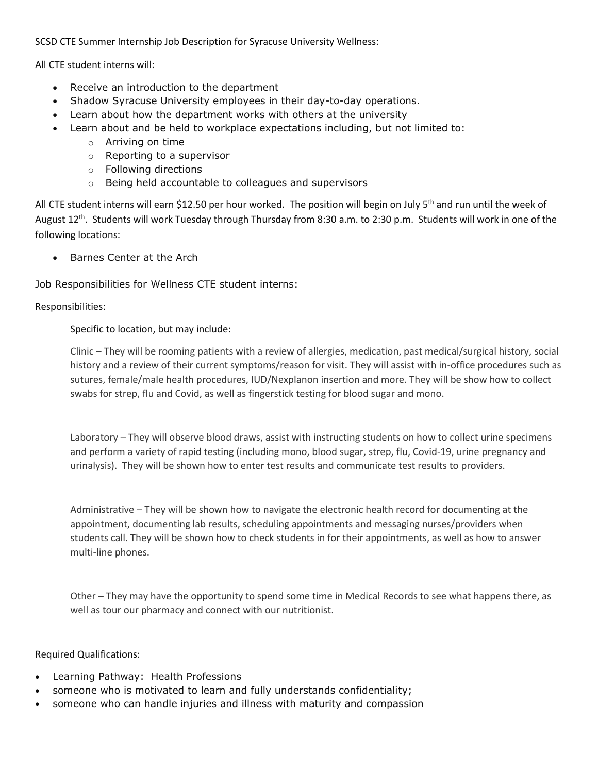SCSD CTE Summer Internship Job Description for Syracuse University Wellness:

All CTE student interns will:

- Receive an introduction to the department
- Shadow Syracuse University employees in their day-to-day operations.
- Learn about how the department works with others at the university
- Learn about and be held to workplace expectations including, but not limited to:
	- o Arriving on time
	- o Reporting to a supervisor
	- o Following directions
	- o Being held accountable to colleagues and supervisors

All CTE student interns will earn \$12.50 per hour worked. The position will begin on July 5<sup>th</sup> and run until the week of August 12<sup>th</sup>. Students will work Tuesday through Thursday from 8:30 a.m. to 2:30 p.m. Students will work in one of the following locations:

• Barnes Center at the Arch

Job Responsibilities for Wellness CTE student interns:

Responsibilities:

Specific to location, but may include:

Clinic – They will be rooming patients with a review of allergies, medication, past medical/surgical history, social history and a review of their current symptoms/reason for visit. They will assist with in-office procedures such as sutures, female/male health procedures, IUD/Nexplanon insertion and more. They will be show how to collect swabs for strep, flu and Covid, as well as fingerstick testing for blood sugar and mono.

Laboratory – They will observe blood draws, assist with instructing students on how to collect urine specimens and perform a variety of rapid testing (including mono, blood sugar, strep, flu, Covid-19, urine pregnancy and urinalysis). They will be shown how to enter test results and communicate test results to providers.

Administrative – They will be shown how to navigate the electronic health record for documenting at the appointment, documenting lab results, scheduling appointments and messaging nurses/providers when students call. They will be shown how to check students in for their appointments, as well as how to answer multi-line phones.

Other – They may have the opportunity to spend some time in Medical Records to see what happens there, as well as tour our pharmacy and connect with our nutritionist.

Required Qualifications:

- Learning Pathway: Health Professions
- someone who is motivated to learn and fully understands confidentiality;
- someone who can handle injuries and illness with maturity and compassion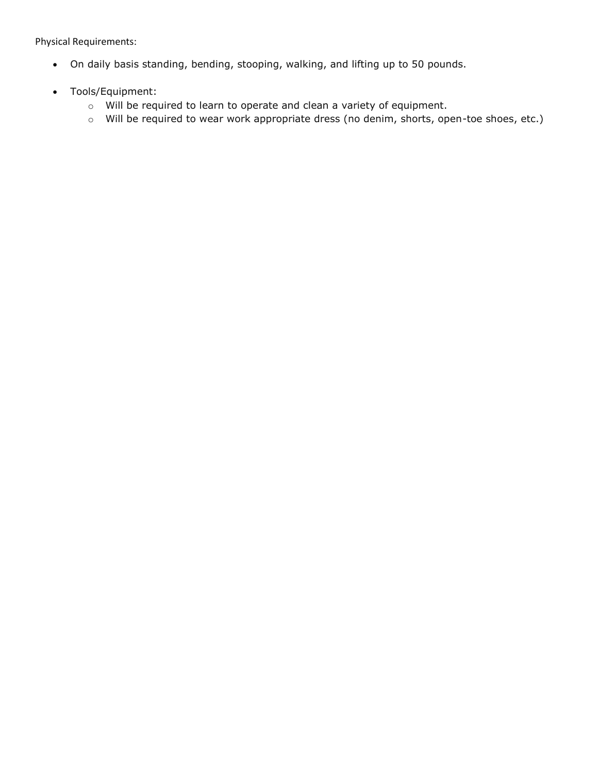Physical Requirements:

- On daily basis standing, bending, stooping, walking, and lifting up to 50 pounds.
- Tools/Equipment:
	- o Will be required to learn to operate and clean a variety of equipment.
	- o Will be required to wear work appropriate dress (no denim, shorts, open-toe shoes, etc.)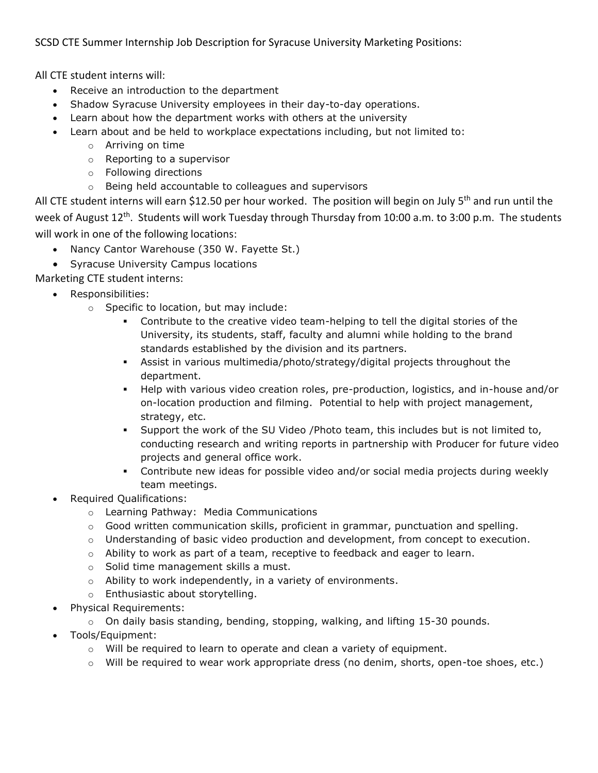SCSD CTE Summer Internship Job Description for Syracuse University Marketing Positions:

All CTE student interns will:

- Receive an introduction to the department
- Shadow Syracuse University employees in their day-to-day operations.
- Learn about how the department works with others at the university
- Learn about and be held to workplace expectations including, but not limited to:
	- o Arriving on time
	- o Reporting to a supervisor
	- o Following directions
	- o Being held accountable to colleagues and supervisors

All CTE student interns will earn \$12.50 per hour worked. The position will begin on July 5<sup>th</sup> and run until the week of August 12<sup>th</sup>. Students will work Tuesday through Thursday from 10:00 a.m. to 3:00 p.m. The students will work in one of the following locations:

- Nancy Cantor Warehouse (350 W. Fayette St.)
- Syracuse University Campus locations

Marketing CTE student interns:

- Responsibilities:
	- o Specific to location, but may include:
		- Contribute to the creative video team-helping to tell the digital stories of the University, its students, staff, faculty and alumni while holding to the brand standards established by the division and its partners.
		- Assist in various multimedia/photo/strategy/digital projects throughout the department.
		- Help with various video creation roles, pre-production, logistics, and in-house and/or on-location production and filming. Potential to help with project management, strategy, etc.
		- Support the work of the SU Video /Photo team, this includes but is not limited to, conducting research and writing reports in partnership with Producer for future video projects and general office work.
		- Contribute new ideas for possible video and/or social media projects during weekly team meetings.
- Required Qualifications:
	- o Learning Pathway: Media Communications
	- o Good written communication skills, proficient in grammar, punctuation and spelling.
	- $\circ$  Understanding of basic video production and development, from concept to execution.
	- $\circ$  Ability to work as part of a team, receptive to feedback and eager to learn.
	- o Solid time management skills a must.
	- o Ability to work independently, in a variety of environments.
	- o Enthusiastic about storytelling.
- Physical Requirements:
	- $\circ$  On daily basis standing, bending, stopping, walking, and lifting 15-30 pounds.
- Tools/Equipment:
	- $\circ$  Will be required to learn to operate and clean a variety of equipment.
	- $\circ$  Will be required to wear work appropriate dress (no denim, shorts, open-toe shoes, etc.)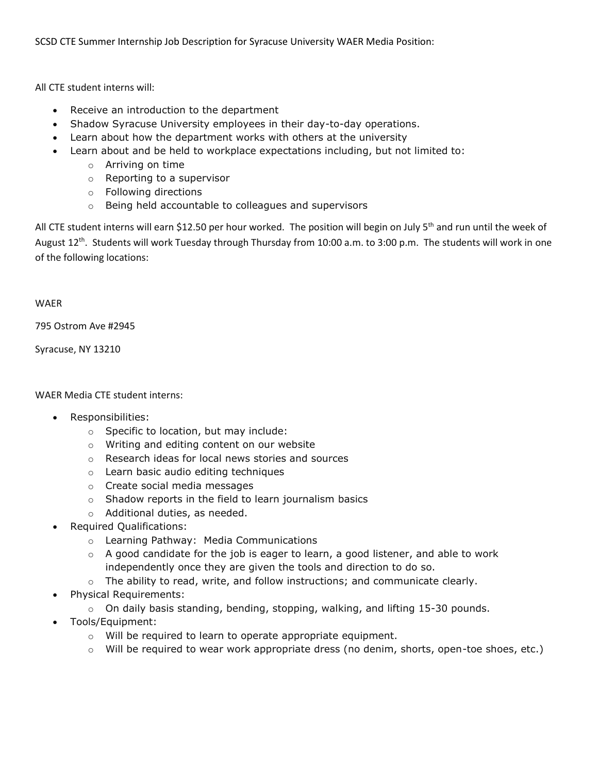SCSD CTE Summer Internship Job Description for Syracuse University WAER Media Position:

All CTE student interns will:

- Receive an introduction to the department
- Shadow Syracuse University employees in their day-to-day operations.
- Learn about how the department works with others at the university
- Learn about and be held to workplace expectations including, but not limited to:
	- o Arriving on time
	- o Reporting to a supervisor
	- o Following directions
	- o Being held accountable to colleagues and supervisors

All CTE student interns will earn \$12.50 per hour worked. The position will begin on July 5<sup>th</sup> and run until the week of August 12<sup>th</sup>. Students will work Tuesday through Thursday from 10:00 a.m. to 3:00 p.m. The students will work in one of the following locations:

#### WAER

795 Ostrom Ave #2945

Syracuse, NY 13210

WAER Media CTE student interns:

- Responsibilities:
	- o Specific to location, but may include:
	- o Writing and editing content on our website
	- o Research ideas for local news stories and sources
	- o Learn basic audio editing techniques
	- o Create social media messages
	- o Shadow reports in the field to learn journalism basics
	- o Additional duties, as needed.
- Required Qualifications:
	- o Learning Pathway: Media Communications
	- $\circ$  A good candidate for the job is eager to learn, a good listener, and able to work independently once they are given the tools and direction to do so.
	- $\circ$  The ability to read, write, and follow instructions; and communicate clearly.
- Physical Requirements:
	- $\circ$  On daily basis standing, bending, stopping, walking, and lifting 15-30 pounds.
- Tools/Equipment:
	- o Will be required to learn to operate appropriate equipment.
	- o Will be required to wear work appropriate dress (no denim, shorts, open-toe shoes, etc.)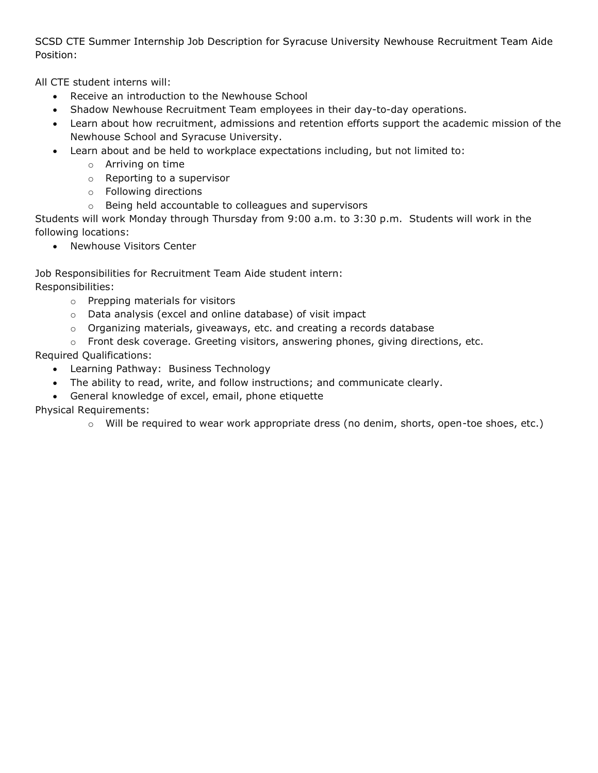SCSD CTE Summer Internship Job Description for Syracuse University Newhouse Recruitment Team Aide Position:

All CTE student interns will:

- Receive an introduction to the Newhouse School
- Shadow Newhouse Recruitment Team employees in their day-to-day operations.
- Learn about how recruitment, admissions and retention efforts support the academic mission of the Newhouse School and Syracuse University.
- Learn about and be held to workplace expectations including, but not limited to:
	- o Arriving on time
	- o Reporting to a supervisor
	- o Following directions
	- o Being held accountable to colleagues and supervisors

Students will work Monday through Thursday from 9:00 a.m. to 3:30 p.m. Students will work in the following locations:

• Newhouse Visitors Center

Job Responsibilities for Recruitment Team Aide student intern: Responsibilities:

- o Prepping materials for visitors
- o Data analysis (excel and online database) of visit impact
- o Organizing materials, giveaways, etc. and creating a records database
- $\circ$  Front desk coverage. Greeting visitors, answering phones, giving directions, etc.

Required Qualifications:

- Learning Pathway: Business Technology
- The ability to read, write, and follow instructions; and communicate clearly.
- General knowledge of excel, email, phone etiquette

Physical Requirements:

 $\circ$  Will be required to wear work appropriate dress (no denim, shorts, open-toe shoes, etc.)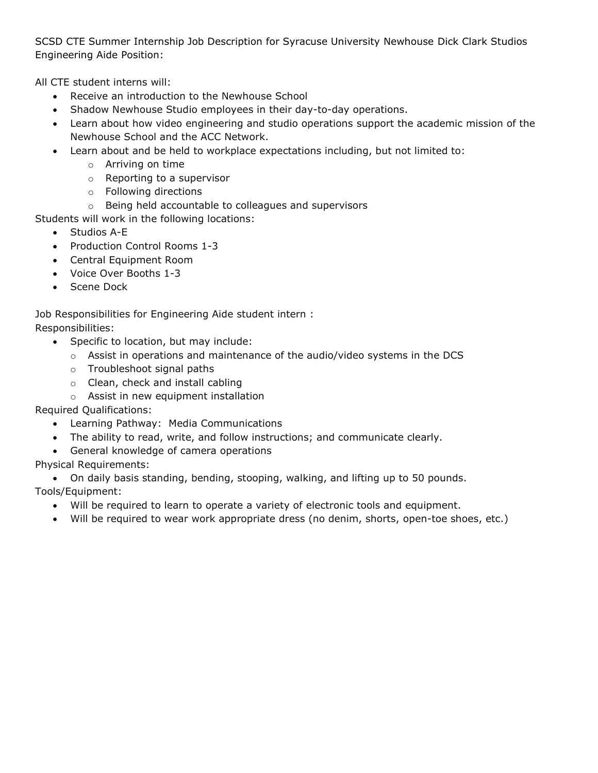SCSD CTE Summer Internship Job Description for Syracuse University Newhouse Dick Clark Studios Engineering Aide Position:

All CTE student interns will:

- Receive an introduction to the Newhouse School
- Shadow Newhouse Studio employees in their day-to-day operations.
- Learn about how video engineering and studio operations support the academic mission of the Newhouse School and the ACC Network.
- Learn about and be held to workplace expectations including, but not limited to:
	- o Arriving on time
	- o Reporting to a supervisor
	- o Following directions
	- o Being held accountable to colleagues and supervisors

Students will work in the following locations:

- Studios A-E
- Production Control Rooms 1-3
- Central Equipment Room
- Voice Over Booths 1-3
- Scene Dock

Job Responsibilities for Engineering Aide student intern :

Responsibilities:

- Specific to location, but may include:
	- $\circ$  Assist in operations and maintenance of the audio/video systems in the DCS
	- o Troubleshoot signal paths
	- o Clean, check and install cabling
	- o Assist in new equipment installation

Required Qualifications:

- Learning Pathway: Media Communications
- The ability to read, write, and follow instructions; and communicate clearly.
- General knowledge of camera operations

Physical Requirements:

• On daily basis standing, bending, stooping, walking, and lifting up to 50 pounds. Tools/Equipment:

- Will be required to learn to operate a variety of electronic tools and equipment.
- Will be required to wear work appropriate dress (no denim, shorts, open-toe shoes, etc.)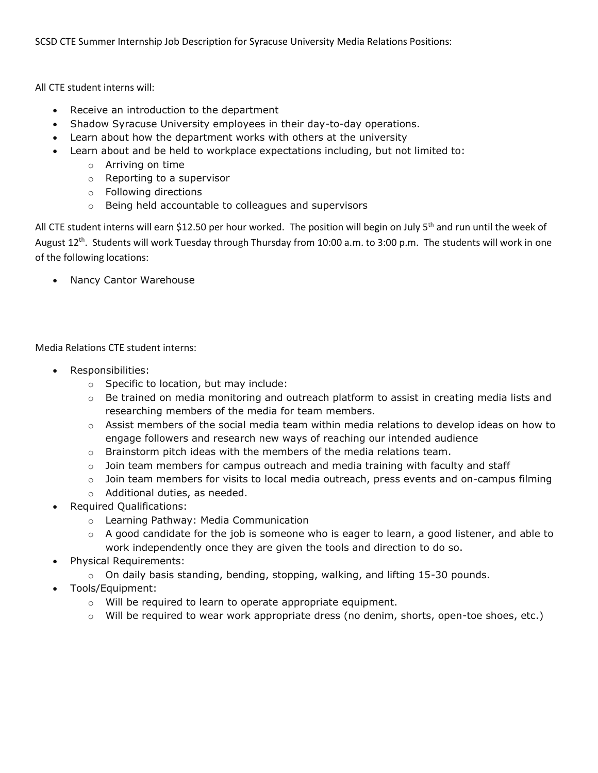SCSD CTE Summer Internship Job Description for Syracuse University Media Relations Positions:

All CTE student interns will:

- Receive an introduction to the department
- Shadow Syracuse University employees in their day-to-day operations.
- Learn about how the department works with others at the university
- Learn about and be held to workplace expectations including, but not limited to:
	- o Arriving on time
	- o Reporting to a supervisor
	- o Following directions
	- o Being held accountable to colleagues and supervisors

All CTE student interns will earn \$12.50 per hour worked. The position will begin on July 5<sup>th</sup> and run until the week of August 12<sup>th</sup>. Students will work Tuesday through Thursday from 10:00 a.m. to 3:00 p.m. The students will work in one of the following locations:

• Nancy Cantor Warehouse

Media Relations CTE student interns:

- Responsibilities:
	- o Specific to location, but may include:
	- $\circ$  Be trained on media monitoring and outreach platform to assist in creating media lists and researching members of the media for team members.
	- $\circ$  Assist members of the social media team within media relations to develop ideas on how to engage followers and research new ways of reaching our intended audience
	- $\circ$  Brainstorm pitch ideas with the members of the media relations team.
	- $\circ$  Join team members for campus outreach and media training with faculty and staff
	- $\circ$  Join team members for visits to local media outreach, press events and on-campus filming
	- o Additional duties, as needed.
- Required Qualifications:
	- o Learning Pathway: Media Communication
	- $\circ$  A good candidate for the job is someone who is eager to learn, a good listener, and able to work independently once they are given the tools and direction to do so.
- Physical Requirements:
	- $\circ$  On daily basis standing, bending, stopping, walking, and lifting 15-30 pounds.
- Tools/Equipment:
	- o Will be required to learn to operate appropriate equipment.
	- o Will be required to wear work appropriate dress (no denim, shorts, open-toe shoes, etc.)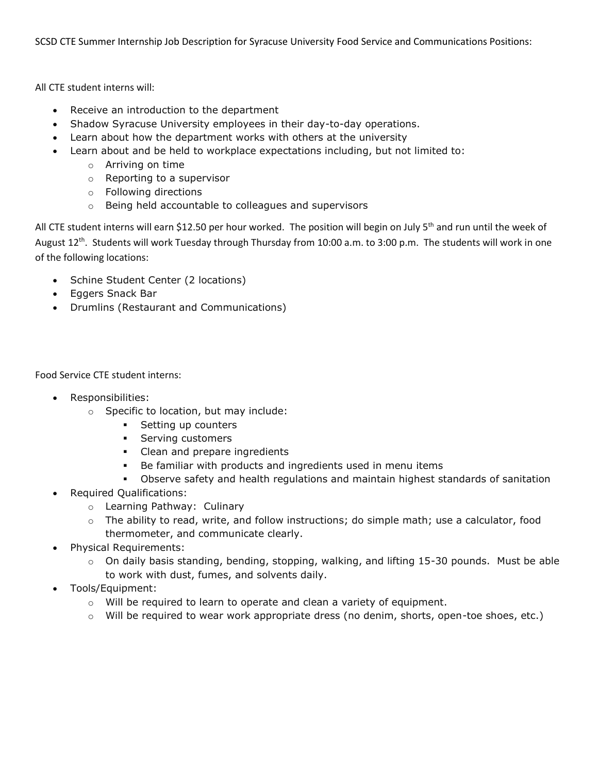SCSD CTE Summer Internship Job Description for Syracuse University Food Service and Communications Positions:

All CTE student interns will:

- Receive an introduction to the department
- Shadow Syracuse University employees in their day-to-day operations.
- Learn about how the department works with others at the university
- Learn about and be held to workplace expectations including, but not limited to:
	- o Arriving on time
	- o Reporting to a supervisor
	- o Following directions
	- o Being held accountable to colleagues and supervisors

All CTE student interns will earn \$12.50 per hour worked. The position will begin on July 5<sup>th</sup> and run until the week of August 12<sup>th</sup>. Students will work Tuesday through Thursday from 10:00 a.m. to 3:00 p.m. The students will work in one of the following locations:

- Schine Student Center (2 locations)
- Eggers Snack Bar
- Drumlins (Restaurant and Communications)

Food Service CTE student interns:

- Responsibilities:
	- o Specific to location, but may include:
		- Setting up counters
		- **•** Serving customers
		- **•** Clean and prepare ingredients
		- Be familiar with products and ingredients used in menu items
		- **•** Observe safety and health regulations and maintain highest standards of sanitation
- Required Qualifications:
	- o Learning Pathway: Culinary
	- o The ability to read, write, and follow instructions; do simple math; use a calculator, food thermometer, and communicate clearly.
- Physical Requirements:
	- $\circ$  On daily basis standing, bending, stopping, walking, and lifting 15-30 pounds. Must be able to work with dust, fumes, and solvents daily.
- Tools/Equipment:
	- $\circ$  Will be required to learn to operate and clean a variety of equipment.
	- o Will be required to wear work appropriate dress (no denim, shorts, open-toe shoes, etc.)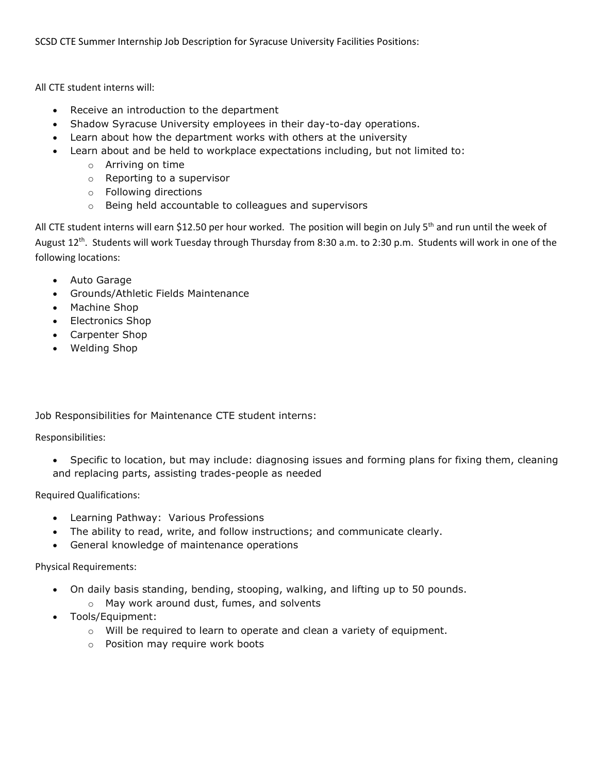All CTE student interns will:

- Receive an introduction to the department
- Shadow Syracuse University employees in their day-to-day operations.
- Learn about how the department works with others at the university
- Learn about and be held to workplace expectations including, but not limited to:
	- o Arriving on time
	- o Reporting to a supervisor
	- o Following directions
	- o Being held accountable to colleagues and supervisors

All CTE student interns will earn \$12.50 per hour worked. The position will begin on July 5<sup>th</sup> and run until the week of August 12<sup>th</sup>. Students will work Tuesday through Thursday from 8:30 a.m. to 2:30 p.m. Students will work in one of the following locations:

- Auto Garage
- Grounds/Athletic Fields Maintenance
- Machine Shop
- Electronics Shop
- Carpenter Shop
- Welding Shop

Job Responsibilities for Maintenance CTE student interns:

Responsibilities:

• Specific to location, but may include: diagnosing issues and forming plans for fixing them, cleaning and replacing parts, assisting trades-people as needed

Required Qualifications:

- Learning Pathway: Various Professions
- The ability to read, write, and follow instructions; and communicate clearly.
- General knowledge of maintenance operations

Physical Requirements:

- On daily basis standing, bending, stooping, walking, and lifting up to 50 pounds.
	- o May work around dust, fumes, and solvents
- Tools/Equipment:
	- $\circ$  Will be required to learn to operate and clean a variety of equipment.
	- o Position may require work boots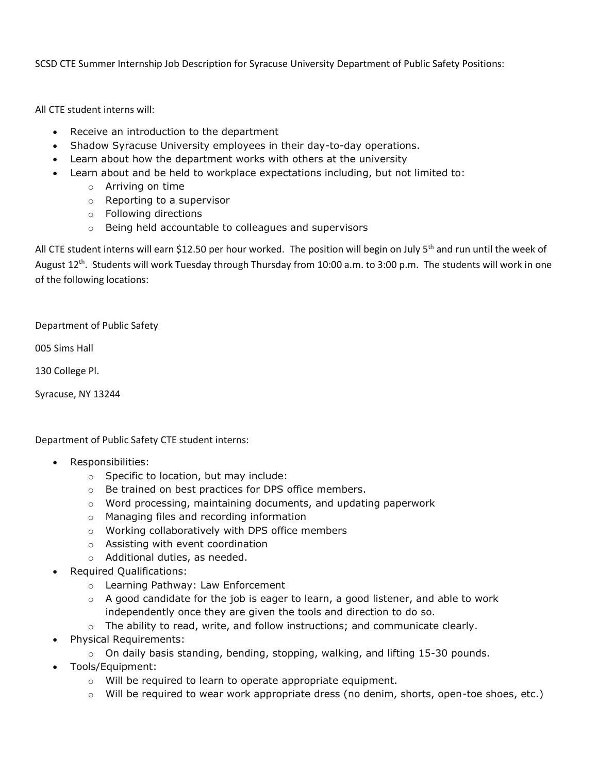SCSD CTE Summer Internship Job Description for Syracuse University Department of Public Safety Positions:

All CTE student interns will:

- Receive an introduction to the department
- Shadow Syracuse University employees in their day-to-day operations.
- Learn about how the department works with others at the university
- Learn about and be held to workplace expectations including, but not limited to:
	- o Arriving on time
	- o Reporting to a supervisor
	- o Following directions
	- o Being held accountable to colleagues and supervisors

All CTE student interns will earn \$12.50 per hour worked. The position will begin on July 5<sup>th</sup> and run until the week of August 12<sup>th</sup>. Students will work Tuesday through Thursday from 10:00 a.m. to 3:00 p.m. The students will work in one of the following locations:

Department of Public Safety

005 Sims Hall

130 College Pl.

Syracuse, NY 13244

Department of Public Safety CTE student interns:

- Responsibilities:
	- o Specific to location, but may include:
	- o Be trained on best practices for DPS office members.
	- o Word processing, maintaining documents, and updating paperwork
	- o Managing files and recording information
	- o Working collaboratively with DPS office members
	- o Assisting with event coordination
	- o Additional duties, as needed.
- Required Qualifications:
	- o Learning Pathway: Law Enforcement
	- $\circ$  A good candidate for the job is eager to learn, a good listener, and able to work independently once they are given the tools and direction to do so.
	- $\circ$  The ability to read, write, and follow instructions; and communicate clearly.
- Physical Requirements:
	- $\circ$  On daily basis standing, bending, stopping, walking, and lifting 15-30 pounds.
- Tools/Equipment:
	- o Will be required to learn to operate appropriate equipment.
	- $\circ$  Will be required to wear work appropriate dress (no denim, shorts, open-toe shoes, etc.)